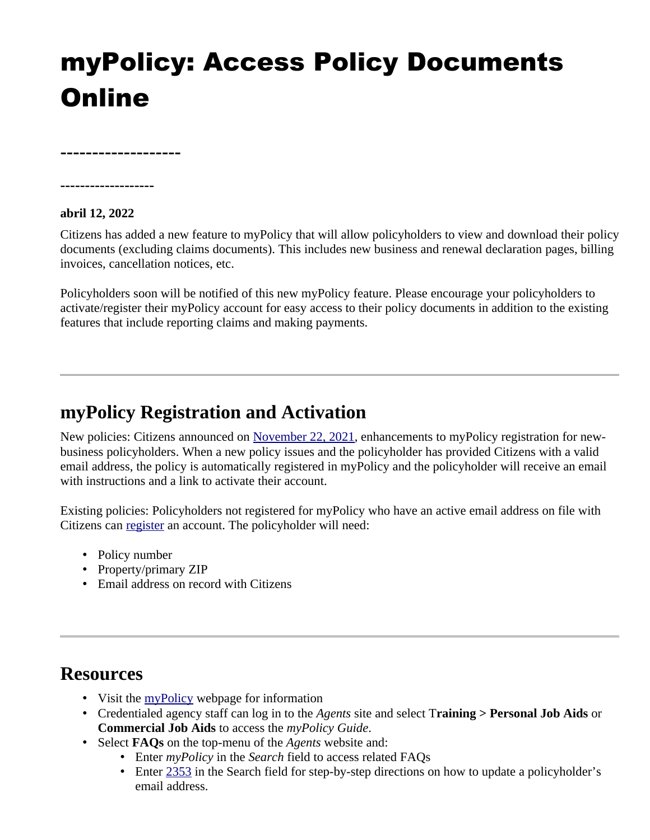## myPolicy: Access Policy Documents **Online**

**-------------------**

**-------------------**

**abril 12, 2022** 

Citizens has added a new feature to myPolicy that will allow policyholders to view and download their policy documents (excluding claims documents). This includes new business and renewal declaration pages, billing invoices, cancellation notices, etc.

Policyholders soon will be notified of this new myPolicy feature. Please encourage your policyholders to activate/register their myPolicy account for easy access to their policy documents in addition to the existing features that include reporting claims and making payments.

## **myPolicy Registration and Activation**

New policies: Citizens announced on [November 22, 2021](https://www.citizensfla.com/-/20211122-enhancements-to-mypolicy-are-live), enhancements to myPolicy registration for newbusiness policyholders. When a new policy issues and the policyholder has provided Citizens with a valid email address, the policy is automatically registered in myPolicy and the policyholder will receive an email with instructions and a link to activate their account.

Existing policies: Policyholders not registered for myPolicy who have an active email address on file with Citizens can [register](https://customer.citizensfla.com/account-management/signup-enrollment) an account. The policyholder will need:

- Policy number
- Property/primary ZIP
- Email address on record with Citizens

## **Resources**

- Visit the [myPolicy](https://www.citizensfla.com/mypolicy) webpage for information
- Credentialed agency staff can log in to the *Agents* site and select T**raining > Personal Job Aids** or **Commercial Job Aids** to access the *myPolicy Guide*.
- Select **FAQs** on the top-menu of the *Agents* website and:
	- Enter *myPolicy* in the *Search* field to access related FAQs
	- Enter [2353](https://securesupport.citizensfla.com/app/answers/detail/a_id/2353/kw/2353) in the Search field for step-by-step directions on how to update a policyholder's email address.